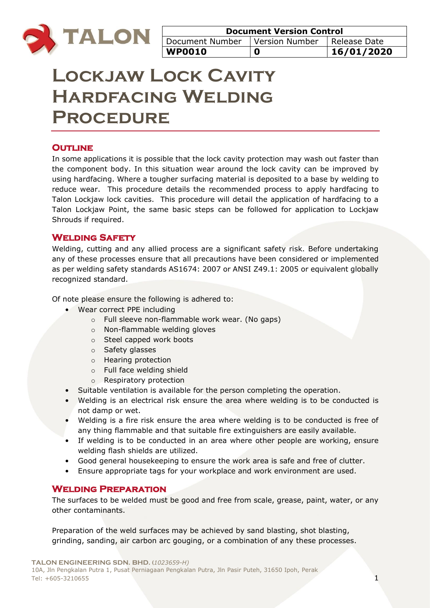

| <b>Document Version Control</b>                 |   |            |
|-------------------------------------------------|---|------------|
| Document Number   Version Number   Release Date |   |            |
| WP0010                                          | 0 | 16/01/2020 |

# **Lockjaw Lock Cavity Hardfacing Welding Procedure**

# **OUTLINE**

In some applications it is possible that the lock cavity protection may wash out faster than the component body. In this situation wear around the lock cavity can be improved by using hardfacing. Where a tougher surfacing material is deposited to a base by welding to reduce wear. This procedure details the recommended process to apply hardfacing to Talon Lockjaw lock cavities. This procedure will detail the application of hardfacing to a Talon Lockjaw Point, the same basic steps can be followed for application to Lockjaw Shrouds if required.

## **Welding Safety**

Welding, cutting and any allied process are a significant safety risk. Before undertaking any of these processes ensure that all precautions have been considered or implemented as per welding safety standards AS1674: 2007 or ANSI Z49.1: 2005 or equivalent globally recognized standard.

Of note please ensure the following is adhered to:

- Wear correct PPE including
	- o Full sleeve non-flammable work wear. (No gaps)
	- o Non-flammable welding gloves
	- o Steel capped work boots
	- o Safety glasses
	- o Hearing protection
	- o Full face welding shield
	- o Respiratory protection
- Suitable ventilation is available for the person completing the operation.
- Welding is an electrical risk ensure the area where welding is to be conducted is not damp or wet.
- Welding is a fire risk ensure the area where welding is to be conducted is free of any thing flammable and that suitable fire extinguishers are easily available.
- If welding is to be conducted in an area where other people are working, ensure welding flash shields are utilized.
- Good general housekeeping to ensure the work area is safe and free of clutter.
- Ensure appropriate tags for your workplace and work environment are used.

## **Welding Preparation**

The surfaces to be welded must be good and free from scale, grease, paint, water, or any other contaminants.

Preparation of the weld surfaces may be achieved by sand blasting, shot blasting, grinding, sanding, air carbon arc gouging, or a combination of any these processes.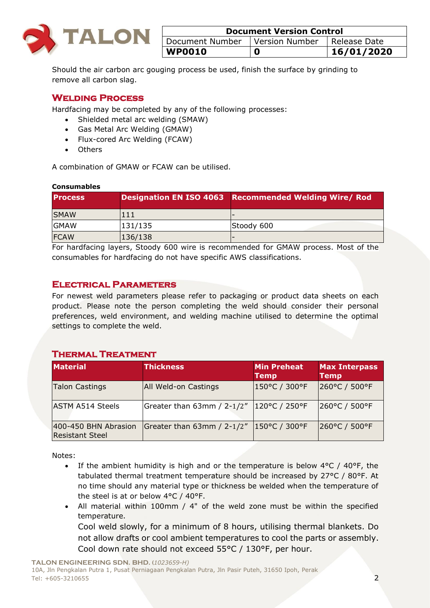

| <b>Document Version Control</b> |                |                |
|---------------------------------|----------------|----------------|
| Document Number                 | Version Number | I Release Date |
| <b>WP0010</b>                   | O              | 16/01/2020     |

Should the air carbon arc gouging process be used, finish the surface by grinding to remove all carbon slag.

# **Welding Process**

Hardfacing may be completed by any of the following processes:

- Shielded metal arc welding (SMAW)
- Gas Metal Arc Welding (GMAW)
- Flux-cored Arc Welding (FCAW)
- Others

A combination of GMAW or FCAW can be utilised.

#### **Consumables**

| <b>IProcess</b> |         | Designation EN ISO 4063 Recommended Welding Wire/Rod |
|-----------------|---------|------------------------------------------------------|
| <b>SMAW</b>     | 111     |                                                      |
| <b>GMAW</b>     | 131/135 | Stoody 600                                           |
| <b>FCAW</b>     | 136/138 |                                                      |

For hardfacing layers, Stoody 600 wire is recommended for GMAW process. Most of the consumables for hardfacing do not have specific AWS classifications.

#### **Electrical Parameters**

For newest weld parameters please refer to packaging or product data sheets on each product. Please note the person completing the weld should consider their personal preferences, weld environment, and welding machine utilised to determine the optimal settings to complete the weld.

## **Thermal Treatment**

| <b>Material</b>                                | <b>Thickness</b>                             | Min Preheat<br><b>Temp</b> | <b>Max Interpass</b><br><b>Temp</b> |
|------------------------------------------------|----------------------------------------------|----------------------------|-------------------------------------|
| <b>Talon Castings</b>                          | All Weld-on Castings                         | 150°C / 300°F              | 260°C / 500°F                       |
| <b>ASTM A514 Steels</b>                        | Greater than 63mm / 2-1/2"   120 °C / 250 °F |                            | 260°C / 500°F                       |
| 400-450 BHN Abrasion<br><b>Resistant Steel</b> | Greater than 63mm / 2-1/2"   150 °C / 300 °F |                            | 260°C / 500°F                       |

Notes:

- If the ambient humidity is high and or the temperature is below  $4^{\circ}C / 40^{\circ}F$ , the tabulated thermal treatment temperature should be increased by 27°C / 80°F. At no time should any material type or thickness be welded when the temperature of the steel is at or below 4°C / 40°F.
- All material within 100mm / 4" of the weld zone must be within the specified temperature.

Cool weld slowly, for a minimum of 8 hours, utilising thermal blankets. Do not allow drafts or cool ambient temperatures to cool the parts or assembly. Cool down rate should not exceed 55°C / 130°F, per hour.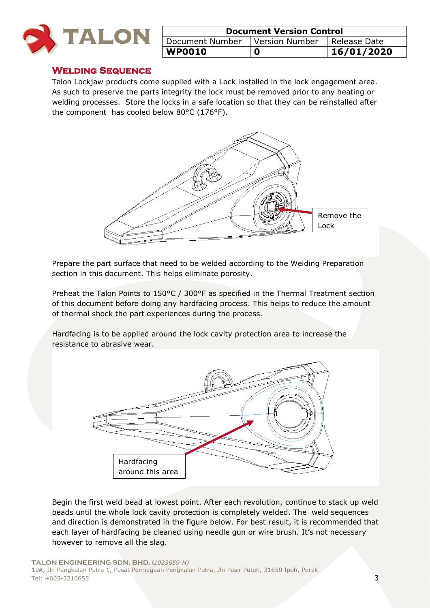

| <b>Document Version Control</b>  |  |              |
|----------------------------------|--|--------------|
| Document Number   Version Number |  | Release Date |
| <b>WP0010</b>                    |  | 16/01/2020   |

#### **Welding Sequence**

Talon Lockjaw products come supplied with a Lock installed in the lock engagement area. As such to preserve the parts integrity the lock must be removed prior to any heating or welding processes. Store the locks in a safe location so that they can be reinstalled after the component has cooled below 80°C (176°F).



Prepare the part surface that need to be welded according to the Welding Preparation section in this document. This helps eliminate porosity.

Preheat the Talon Points to 150°C / 300°F as specified in the Thermal Treatment section of this document before doing any hardfacing process. This helps to reduce the amount of thermal shock the part experiences during the process.

Hardfacing is to be applied around the lock cavity protection area to increase the resistance to abrasive wear.



Begin the first weld bead at lowest point. After each revolution, continue to stack up weld beads until the whole lock cavity protection is completely welded. The weld sequences and direction is demonstrated in the figure below. For best result, it is recommended that each layer of hardfacing be cleaned using needle gun or wire brush. It's not necessary however to remove all the slag.